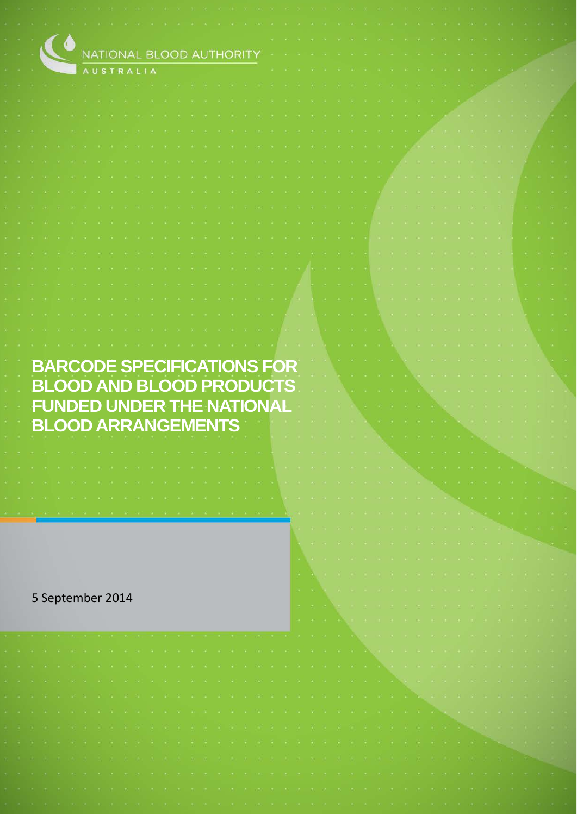| C.               | NATIONAL BLOOD AUTHORI                                                                                                                                                                                                        |  |                                                                                                                                                                                                                                |  |                   |                                         |  |  |                                   |                                        |  |  |  |
|------------------|-------------------------------------------------------------------------------------------------------------------------------------------------------------------------------------------------------------------------------|--|--------------------------------------------------------------------------------------------------------------------------------------------------------------------------------------------------------------------------------|--|-------------------|-----------------------------------------|--|--|-----------------------------------|----------------------------------------|--|--|--|
|                  | <b>AUSTRALIA</b>                                                                                                                                                                                                              |  |                                                                                                                                                                                                                                |  |                   |                                         |  |  |                                   |                                        |  |  |  |
|                  |                                                                                                                                                                                                                               |  |                                                                                                                                                                                                                                |  |                   |                                         |  |  |                                   |                                        |  |  |  |
|                  |                                                                                                                                                                                                                               |  |                                                                                                                                                                                                                                |  |                   |                                         |  |  |                                   |                                        |  |  |  |
|                  |                                                                                                                                                                                                                               |  |                                                                                                                                                                                                                                |  |                   |                                         |  |  |                                   |                                        |  |  |  |
|                  |                                                                                                                                                                                                                               |  |                                                                                                                                                                                                                                |  |                   |                                         |  |  |                                   |                                        |  |  |  |
|                  |                                                                                                                                                                                                                               |  |                                                                                                                                                                                                                                |  |                   |                                         |  |  |                                   |                                        |  |  |  |
|                  |                                                                                                                                                                                                                               |  |                                                                                                                                                                                                                                |  |                   |                                         |  |  |                                   |                                        |  |  |  |
|                  |                                                                                                                                                                                                                               |  |                                                                                                                                                                                                                                |  |                   |                                         |  |  |                                   |                                        |  |  |  |
|                  |                                                                                                                                                                                                                               |  |                                                                                                                                                                                                                                |  |                   |                                         |  |  |                                   |                                        |  |  |  |
|                  |                                                                                                                                                                                                                               |  |                                                                                                                                                                                                                                |  |                   |                                         |  |  |                                   |                                        |  |  |  |
|                  |                                                                                                                                                                                                                               |  |                                                                                                                                                                                                                                |  |                   |                                         |  |  |                                   |                                        |  |  |  |
|                  |                                                                                                                                                                                                                               |  |                                                                                                                                                                                                                                |  |                   |                                         |  |  |                                   |                                        |  |  |  |
|                  |                                                                                                                                                                                                                               |  |                                                                                                                                                                                                                                |  |                   |                                         |  |  |                                   |                                        |  |  |  |
|                  |                                                                                                                                                                                                                               |  |                                                                                                                                                                                                                                |  |                   |                                         |  |  |                                   |                                        |  |  |  |
|                  |                                                                                                                                                                                                                               |  |                                                                                                                                                                                                                                |  |                   |                                         |  |  |                                   |                                        |  |  |  |
|                  |                                                                                                                                                                                                                               |  |                                                                                                                                                                                                                                |  |                   |                                         |  |  |                                   |                                        |  |  |  |
|                  |                                                                                                                                                                                                                               |  |                                                                                                                                                                                                                                |  |                   |                                         |  |  |                                   |                                        |  |  |  |
|                  |                                                                                                                                                                                                                               |  |                                                                                                                                                                                                                                |  |                   |                                         |  |  |                                   |                                        |  |  |  |
|                  |                                                                                                                                                                                                                               |  |                                                                                                                                                                                                                                |  |                   |                                         |  |  |                                   |                                        |  |  |  |
|                  |                                                                                                                                                                                                                               |  |                                                                                                                                                                                                                                |  |                   |                                         |  |  |                                   |                                        |  |  |  |
|                  |                                                                                                                                                                                                                               |  |                                                                                                                                                                                                                                |  |                   |                                         |  |  |                                   |                                        |  |  |  |
|                  | <b>BARCODE SPECIFICATIONS FOR</b>                                                                                                                                                                                             |  |                                                                                                                                                                                                                                |  |                   |                                         |  |  |                                   |                                        |  |  |  |
|                  | <b>BLOOD AND BLOOD PRODUCTS</b>                                                                                                                                                                                               |  |                                                                                                                                                                                                                                |  |                   |                                         |  |  |                                   |                                        |  |  |  |
|                  | <b>FUNDED UNDER THE NATIONAL</b>                                                                                                                                                                                              |  |                                                                                                                                                                                                                                |  |                   |                                         |  |  |                                   |                                        |  |  |  |
|                  |                                                                                                                                                                                                                               |  |                                                                                                                                                                                                                                |  |                   |                                         |  |  |                                   |                                        |  |  |  |
|                  | <b>BLOOD ARRANGEMENTS</b>                                                                                                                                                                                                     |  |                                                                                                                                                                                                                                |  |                   |                                         |  |  |                                   |                                        |  |  |  |
|                  |                                                                                                                                                                                                                               |  |                                                                                                                                                                                                                                |  |                   |                                         |  |  |                                   |                                        |  |  |  |
|                  | the control of the control of the control of the control of the control of the control of the control of the control of the control of the control of the control of the control of the control of the control of the control |  |                                                                                                                                                                                                                                |  |                   |                                         |  |  |                                   | the control of the control of the con- |  |  |  |
|                  |                                                                                                                                                                                                                               |  |                                                                                                                                                                                                                                |  |                   |                                         |  |  |                                   |                                        |  |  |  |
|                  |                                                                                                                                                                                                                               |  |                                                                                                                                                                                                                                |  |                   |                                         |  |  |                                   |                                        |  |  |  |
|                  |                                                                                                                                                                                                                               |  |                                                                                                                                                                                                                                |  |                   |                                         |  |  |                                   |                                        |  |  |  |
|                  |                                                                                                                                                                                                                               |  |                                                                                                                                                                                                                                |  |                   |                                         |  |  |                                   |                                        |  |  |  |
|                  |                                                                                                                                                                                                                               |  |                                                                                                                                                                                                                                |  |                   | <b>14 C</b>                             |  |  |                                   |                                        |  |  |  |
|                  |                                                                                                                                                                                                                               |  |                                                                                                                                                                                                                                |  |                   | <b>ALC: N</b>                           |  |  |                                   |                                        |  |  |  |
|                  |                                                                                                                                                                                                                               |  |                                                                                                                                                                                                                                |  |                   |                                         |  |  |                                   |                                        |  |  |  |
| 5 September 2014 |                                                                                                                                                                                                                               |  |                                                                                                                                                                                                                                |  |                   | 18.000.000                              |  |  |                                   |                                        |  |  |  |
|                  |                                                                                                                                                                                                                               |  |                                                                                                                                                                                                                                |  |                   | the common                              |  |  |                                   |                                        |  |  |  |
|                  |                                                                                                                                                                                                                               |  |                                                                                                                                                                                                                                |  | <b>CONTRACTOR</b> | the comment<br><b>STATE OF BUILDING</b> |  |  |                                   |                                        |  |  |  |
|                  |                                                                                                                                                                                                                               |  |                                                                                                                                                                                                                                |  |                   |                                         |  |  |                                   |                                        |  |  |  |
|                  |                                                                                                                                                                                                                               |  |                                                                                                                                                                                                                                |  |                   |                                         |  |  |                                   |                                        |  |  |  |
|                  |                                                                                                                                                                                                                               |  |                                                                                                                                                                                                                                |  |                   |                                         |  |  |                                   |                                        |  |  |  |
|                  |                                                                                                                                                                                                                               |  |                                                                                                                                                                                                                                |  |                   |                                         |  |  |                                   |                                        |  |  |  |
|                  |                                                                                                                                                                                                                               |  |                                                                                                                                                                                                                                |  |                   |                                         |  |  |                                   |                                        |  |  |  |
|                  |                                                                                                                                                                                                                               |  | . And a common second control of the common second control of the common second control of the common second control of the common second control of the common second control of the common second control of the common seco |  |                   |                                         |  |  |                                   |                                        |  |  |  |
|                  |                                                                                                                                                                                                                               |  |                                                                                                                                                                                                                                |  |                   |                                         |  |  | <b>Contract Contract Contract</b> |                                        |  |  |  |
|                  |                                                                                                                                                                                                                               |  |                                                                                                                                                                                                                                |  |                   |                                         |  |  |                                   |                                        |  |  |  |
|                  | 法无法不能不法不能不法不法不能不法 法行法不法行法 医小脑下垂 医心脏下垂 医心脏下垂 计自动程序 医心脏下垂下垂 医卡普尔氏征 医下颌                                                                                                                                                          |  |                                                                                                                                                                                                                                |  |                   |                                         |  |  |                                   |                                        |  |  |  |
|                  |                                                                                                                                                                                                                               |  |                                                                                                                                                                                                                                |  |                   |                                         |  |  |                                   |                                        |  |  |  |